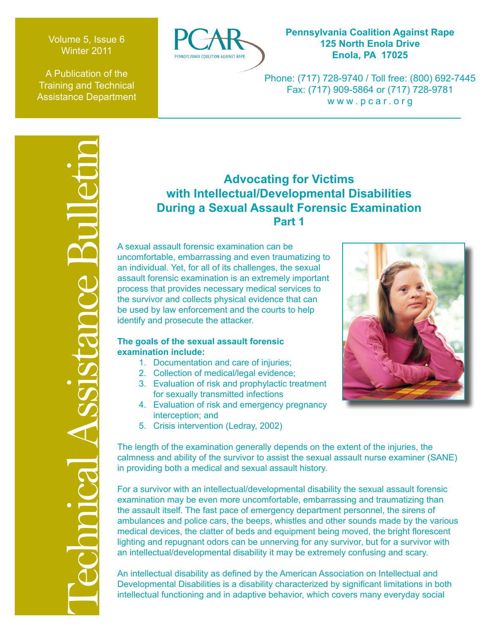Volume 5, Issue 6 Winter 2011

A Publication of the Training and Technical Assistance Department



## **Pennsylvania Coalition Against Rape 125 North Enola Drive Enola, PA 17025**

Phone: (717) 728-9740 / Toll free: (800) 692-7445 Fax: (717) 909-5864 or (717) 728-9781 www.pcar.org

# **Advocating for Victims with Intellectual/Developmental Disabilities During a Sexual Assault Forensic Examination Part 1**

A sexual assault forensic examination can be uncomfortable, embarrassing and even traumatizing to an individual. Yet, for all of its challenges, the sexual assault forensic examination is an extremely important process that provides necessary medical services to the survivor and collects physical evidence that can be used by law enforcement and the courts to help identify and prosecute the attacker.

#### **The goals of the sexual assault forensic examination include:**

- 1. Documentation and care of injuries;
- 2. Collection of medical/legal evidence;
- 3. Evaluation of risk and prophylactic treatment for sexually transmitted infections
- 4. Evaluation of risk and emergency pregnancy interception; and
- 5. Crisis intervention (Ledray, 2002)



The length of the examination generally depends on the extent of the injuries, the calmness and ability of the survivor to assist the sexual assault nurse examiner (SANE) in providing both a medical and sexual assault history.

For a survivor with an intellectual/developmental disability the sexual assault forensic examination may be even more uncomfortable, embarrassing and traumatizing than the assault itself. The fast pace of emergency department personnel, the sirens of ambulances and police cars, the beeps, whistles and other sounds made by the various medical devices, the clatter of beds and equipment being moved, the bright florescent lighting and repugnant odors can be unnerving for any survivor, but for a survivor with an intellectual/developmental disability it may be extremely confusing and scary.

An intellectual disability as defined by the American Association on Intellectual and Developmental Disabilities is a disability characterized by significant limitations in both intellectual functioning and in adaptive behavior, which covers many everyday social

Technical Assistance Bulletin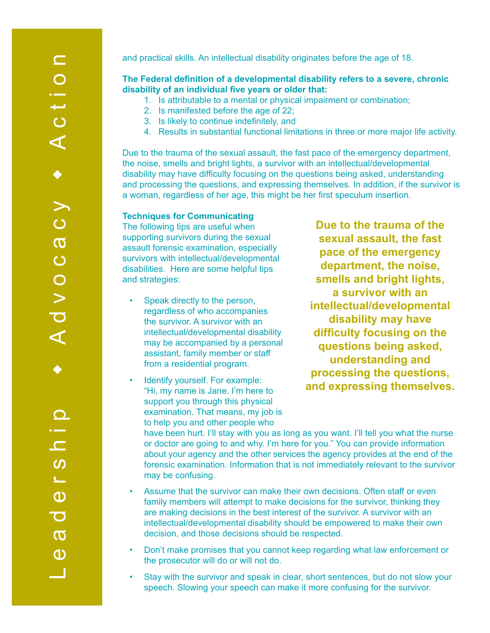and practical skills. An intellectual disability originates before the age of 18.

## **The Federal definition of a developmental disability refers to a severe, chronic disability of an individual five years or older that:**

- 1. Is attributable to a mental or physical impairment or combination;
- 2. Is manifested before the age of 22;
- 3. Is likely to continue indefinitely, and
- 4. Results in substantial functional limitations in three or more major life activity.

Due to the trauma of the sexual assault, the fast pace of the emergency department, the noise, smells and bright lights, a survivor with an intellectual/developmental disability may have difficulty focusing on the questions being asked, understanding and processing the questions, and expressing themselves. In addition, if the survivor is a woman, regardless of her age, this might be her first speculum insertion.

#### **Techniques for Communicating**

The following tips are useful when supporting survivors during the sexual assault forensic examination, especially survivors with intellectual/developmental disabilities. Here are some helpful tips and strategies:

- Speak directly to the person, regardless of who accompanies the survivor. A survivor with an intellectual/developmental disability may be accompanied by a personal assistant, family member or staff from a residential program.
- Identify yourself. For example: "Hi, my name is Jane. I'm here to support you through this physical examination. That means, my job is to help you and other people who

**Due to the trauma of the sexual assault, the fast pace of the emergency department, the noise, smells and bright lights, a survivor with an intellectual/developmental disability may have difficulty focusing on the questions being asked, understanding and processing the questions, and expressing themselves.**

have been hurt. I'll stay with you as long as you want. I'll tell you what the nurse or doctor are going to and why. I'm here for you." You can provide information about your agency and the other services the agency provides at the end of the forensic examination. Information that is not immediately relevant to the survivor may be confusing.

- Assume that the survivor can make their own decisions. Often staff or even family members will attempt to make decisions for the survivor, thinking they are making decisions in the best interest of the survivor. A survivor with an intellectual/developmental disability should be empowered to make their own decision, and those decisions should be respected.
- Don't make promises that you cannot keep regarding what law enforcement or the prosecutor will do or will not do.
- Stay with the survivor and speak in clear, short sentences, but do not slow your speech. Slowing your speech can make it more confusing for the survivor.